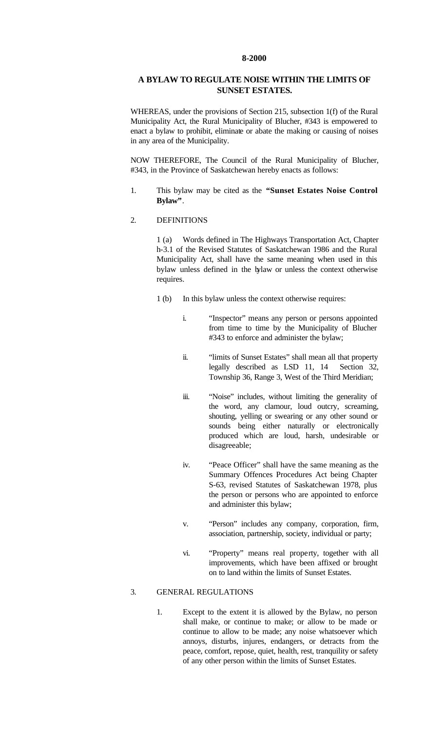#### **8-2000**

# **A BYLAW TO REGULATE NOISE WITHIN THE LIMITS OF SUNSET ESTATES.**

WHEREAS, under the provisions of Section 215, subsection 1(f) of the Rural Municipality Act, the Rural Municipality of Blucher, #343 is empowered to enact a bylaw to prohibit, eliminate or abate the making or causing of noises in any area of the Municipality.

NOW THEREFORE, The Council of the Rural Municipality of Blucher, #343, in the Province of Saskatchewan hereby enacts as follows:

1. This bylaw may be cited as the **"Sunset Estates Noise Control Bylaw"**.

#### 2. DEFINITIONS

1 (a) Words defined in The Highways Transportation Act, Chapter h-3.1 of the Revised Statutes of Saskatchewan 1986 and the Rural Municipality Act, shall have the same meaning when used in this bylaw unless defined in the bylaw or unless the context otherwise requires.

- 1 (b) In this bylaw unless the context otherwise requires:
	- i. "Inspector" means any person or persons appointed from time to time by the Municipality of Blucher #343 to enforce and administer the bylaw;
	- ii. "limits of Sunset Estates" shall mean all that property legally described as LSD 11, 14 Section 32, Township 36, Range 3, West of the Third Meridian;
	- iii. "Noise" includes, without limiting the generality of the word, any clamour, loud outcry, screaming, shouting, yelling or swearing or any other sound or sounds being either naturally or electronically produced which are loud, harsh, undesirable or disagreeable;
	- iv. "Peace Officer" shall have the same meaning as the Summary Offences Procedures Act being Chapter S-63, revised Statutes of Saskatchewan 1978, plus the person or persons who are appointed to enforce and administer this bylaw;
	- v. "Person" includes any company, corporation, firm, association, partnership, society, individual or party;
	- vi. "Property" means real property, together with all improvements, which have been affixed or brought on to land within the limits of Sunset Estates.

### 3. GENERAL REGULATIONS

1. Except to the extent it is allowed by the Bylaw, no person shall make, or continue to make; or allow to be made or continue to allow to be made; any noise whatsoever which annoys, disturbs, injures, endangers, or detracts from the peace, comfort, repose, quiet, health, rest, tranquility or safety of any other person within the limits of Sunset Estates.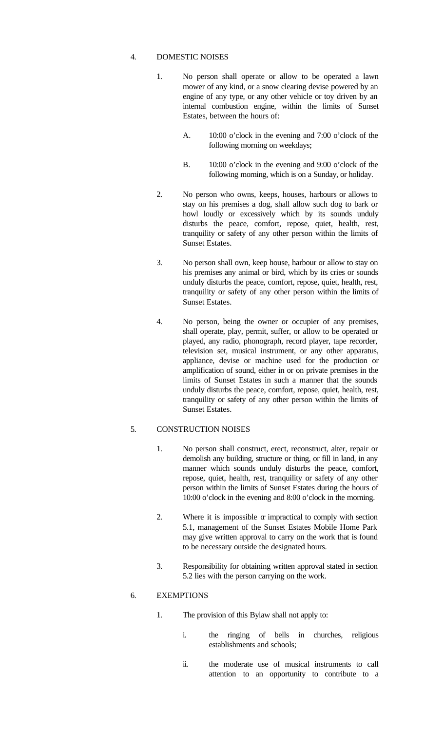### 4. DOMESTIC NOISES

- 1. No person shall operate or allow to be operated a lawn mower of any kind, or a snow clearing devise powered by an engine of any type, or any other vehicle or toy driven by an internal combustion engine, within the limits of Sunset Estates, between the hours of:
	- A. 10:00 o'clock in the evening and 7:00 o'clock of the following morning on weekdays;
	- B. 10:00 o'clock in the evening and 9:00 o'clock of the following morning, which is on a Sunday, or holiday.
- 2. No person who owns, keeps, houses, harbours or allows to stay on his premises a dog, shall allow such dog to bark or howl loudly or excessively which by its sounds unduly disturbs the peace, comfort, repose, quiet, health, rest, tranquility or safety of any other person within the limits of Sunset Estates.
- 3. No person shall own, keep house, harbour or allow to stay on his premises any animal or bird, which by its cries or sounds unduly disturbs the peace, comfort, repose, quiet, health, rest, tranquility or safety of any other person within the limits of Sunset Estates.
- 4. No person, being the owner or occupier of any premises, shall operate, play, permit, suffer, or allow to be operated or played, any radio, phonograph, record player, tape recorder, television set, musical instrument, or any other apparatus, appliance, devise or machine used for the production or amplification of sound, either in or on private premises in the limits of Sunset Estates in such a manner that the sounds unduly disturbs the peace, comfort, repose, quiet, health, rest, tranquility or safety of any other person within the limits of Sunset Estates.

## 5. CONSTRUCTION NOISES

- 1. No person shall construct, erect, reconstruct, alter, repair or demolish any building, structure or thing, or fill in land, in any manner which sounds unduly disturbs the peace, comfort, repose, quiet, health, rest, tranquility or safety of any other person within the limits of Sunset Estates during the hours of 10:00 o'clock in the evening and 8:00 o'clock in the morning.
- 2. Where it is impossible  $\alpha$  impractical to comply with section 5.1, management of the Sunset Estates Mobile Home Park may give written approval to carry on the work that is found to be necessary outside the designated hours.
- 3. Responsibility for obtaining written approval stated in section 5.2 lies with the person carrying on the work.

## 6. EXEMPTIONS

- 1. The provision of this Bylaw shall not apply to:
	- i. the ringing of bells in churches, religious establishments and schools;
	- ii. the moderate use of musical instruments to call attention to an opportunity to contribute to a